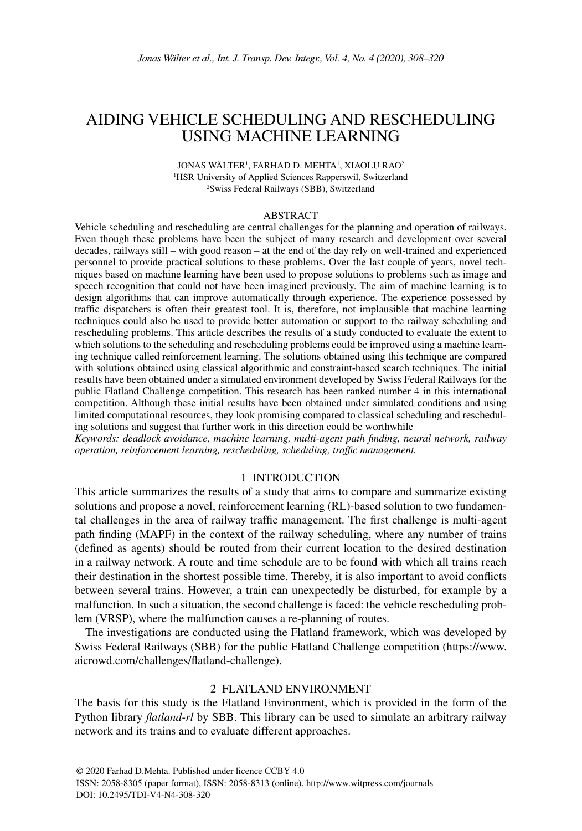# Aiding vehicle Scheduling and rescheduling using Machine LearniNG

JONAS WÄLTER<sup>1</sup>, FARHAD D. MEHTA<sup>1</sup>, XIAOLU RAO<sup>2</sup> 1 HSR University of Applied Sciences Rapperswil, Switzerland 2 Swiss Federal Railways (SBB), Switzerland

#### **ABSTRACT**

Vehicle scheduling and rescheduling are central challenges for the planning and operation of railways. Even though these problems have been the subject of many research and development over several decades, railways still – with good reason – at the end of the day rely on well-trained and experienced personnel to provide practical solutions to these problems. Over the last couple of years, novel techniques based on machine learning have been used to propose solutions to problems such as image and speech recognition that could not have been imagined previously. The aim of machine learning is to design algorithms that can improve automatically through experience. The experience possessed by traffic dispatchers is often their greatest tool. It is, therefore, not implausible that machine learning techniques could also be used to provide better automation or support to the railway scheduling and rescheduling problems. This article describes the results of a study conducted to evaluate the extent to which solutions to the scheduling and rescheduling problems could be improved using a machine learning technique called reinforcement learning. The solutions obtained using this technique are compared with solutions obtained using classical algorithmic and constraint-based search techniques. The initial results have been obtained under a simulated environment developed by Swiss Federal Railways for the public Flatland Challenge competition. This research has been ranked number 4 in this international competition. Although these initial results have been obtained under simulated conditions and using limited computational resources, they look promising compared to classical scheduling and rescheduling solutions and suggest that further work in this direction could be worthwhile

*Keywords: deadlock avoidance, machine learning, multi-agent path finding, neural network, railway operation, reinforcement learning, rescheduling, scheduling, traffic management.*

# 1 Introduction

This article summarizes the results of a study that aims to compare and summarize existing solutions and propose a novel, reinforcement learning (RL)-based solution to two fundamental challenges in the area of railway traffic management. The first challenge is multi-agent path finding (MAPF) in the context of the railway scheduling, where any number of trains (defined as agents) should be routed from their current location to the desired destination in a railway network. A route and time schedule are to be found with which all trains reach their destination in the shortest possible time. Thereby, it is also important to avoid conflicts between several trains. However, a train can unexpectedly be disturbed, for example by a malfunction. In such a situation, the second challenge is faced: the vehicle rescheduling problem (VRSP), where the malfunction causes a re-planning of routes.

The investigations are conducted using the Flatland framework, which was developed by Swiss Federal Railways (SBB) for the public Flatland Challenge competition (https://www. aicrowd.com/challenges/flatland-challenge).

#### 2 Flatland Environment

The basis for this study is the Flatland Environment, which is provided in the form of the Python library *flatland-rl* by SBB. This library can be used to simulate an arbitrary railway network and its trains and to evaluate different approaches.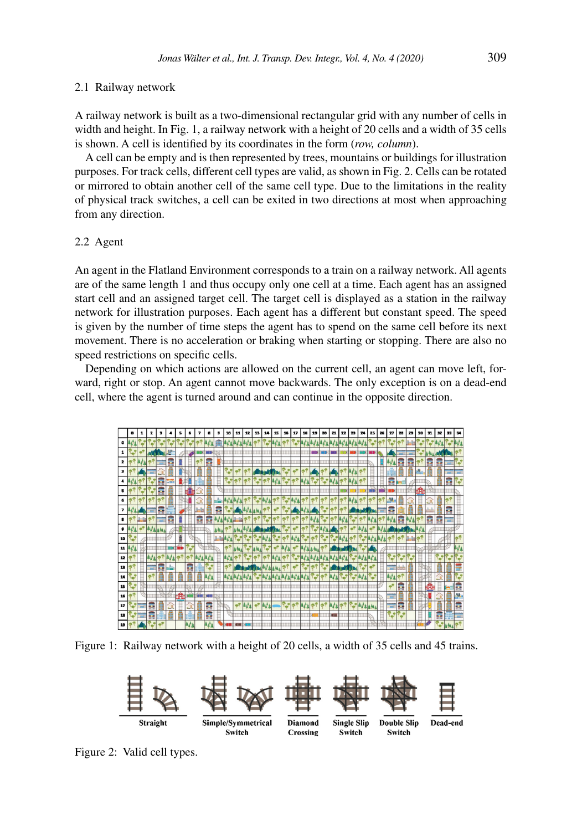#### 2.1 Railway network

A railway network is built as a two-dimensional rectangular grid with any number of cells in width and height. In Fig. 1, a railway network with a height of 20 cells and a width of 35 cells is shown. A cell is identified by its coordinates in the form (*row, column*).

A cell can be empty and is then represented by trees, mountains or buildings for illustration purposes. For track cells, different cell types are valid, as shown in Fig. 2. Cells can be rotated or mirrored to obtain another cell of the same cell type. Due to the limitations in the reality of physical track switches, a cell can be exited in two directions at most when approaching from any direction.

### 2.2 Agent

An agent in the Flatland Environment corresponds to a train on a railway network. All agents are of the same length 1 and thus occupy only one cell at a time. Each agent has an assigned start cell and an assigned target cell. The target cell is displayed as a station in the railway network for illustration purposes. Each agent has a different but constant speed. The speed is given by the number of time steps the agent has to spend on the same cell before its next movement. There is no acceleration or braking when starting or stopping. There are also no speed restrictions on specific cells.

Depending on which actions are allowed on the current cell, an agent can move left, forward, right or stop. An agent cannot move backwards. The only exception is on a dead-end cell, where the agent is turned around and can continue in the opposite direction.



Figure 1: Railway network with a height of 20 cells, a width of 35 cells and 45 trains.



Figure 2: Valid cell types.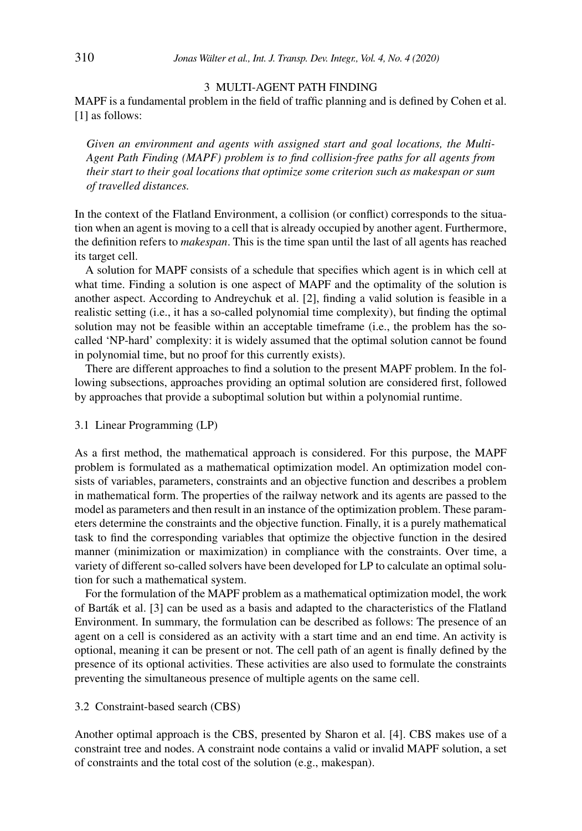# 3 Multi-Agent Path Finding

MAPF is a fundamental problem in the field of traffic planning and is defined by Cohen et al. [1] as follows:

*Given an environment and agents with assigned start and goal locations, the Multi-Agent Path Finding (MAPF) problem is to find collision-free paths for all agents from their start to their goal locations that optimize some criterion such as makespan or sum of travelled distances.*

In the context of the Flatland Environment, a collision (or conflict) corresponds to the situation when an agent is moving to a cell that is already occupied by another agent. Furthermore, the definition refers to *makespan*. This is the time span until the last of all agents has reached its target cell.

A solution for MAPF consists of a schedule that specifies which agent is in which cell at what time. Finding a solution is one aspect of MAPF and the optimality of the solution is another aspect. According to Andreychuk et al. [2], finding a valid solution is feasible in a realistic setting (i.e., it has a so-called polynomial time complexity), but finding the optimal solution may not be feasible within an acceptable timeframe (i.e., the problem has the socalled 'NP-hard' complexity: it is widely assumed that the optimal solution cannot be found in polynomial time, but no proof for this currently exists).

There are different approaches to find a solution to the present MAPF problem. In the following subsections, approaches providing an optimal solution are considered first, followed by approaches that provide a suboptimal solution but within a polynomial runtime.

#### 3.1 Linear Programming (LP)

As a first method, the mathematical approach is considered. For this purpose, the MAPF problem is formulated as a mathematical optimization model. An optimization model consists of variables, parameters, constraints and an objective function and describes a problem in mathematical form. The properties of the railway network and its agents are passed to the model as parameters and then result in an instance of the optimization problem. These parameters determine the constraints and the objective function. Finally, it is a purely mathematical task to find the corresponding variables that optimize the objective function in the desired manner (minimization or maximization) in compliance with the constraints. Over time, a variety of different so-called solvers have been developed for LP to calculate an optimal solution for such a mathematical system.

For the formulation of the MAPF problem as a mathematical optimization model, the work of Barták et al. [3] can be used as a basis and adapted to the characteristics of the Flatland Environment. In summary, the formulation can be described as follows: The presence of an agent on a cell is considered as an activity with a start time and an end time. An activity is optional, meaning it can be present or not. The cell path of an agent is finally defined by the presence of its optional activities. These activities are also used to formulate the constraints preventing the simultaneous presence of multiple agents on the same cell.

#### 3.2 Constraint-based search (CBS)

Another optimal approach is the CBS, presented by Sharon et al. [4]. CBS makes use of a constraint tree and nodes. A constraint node contains a valid or invalid MAPF solution, a set of constraints and the total cost of the solution (e.g., makespan).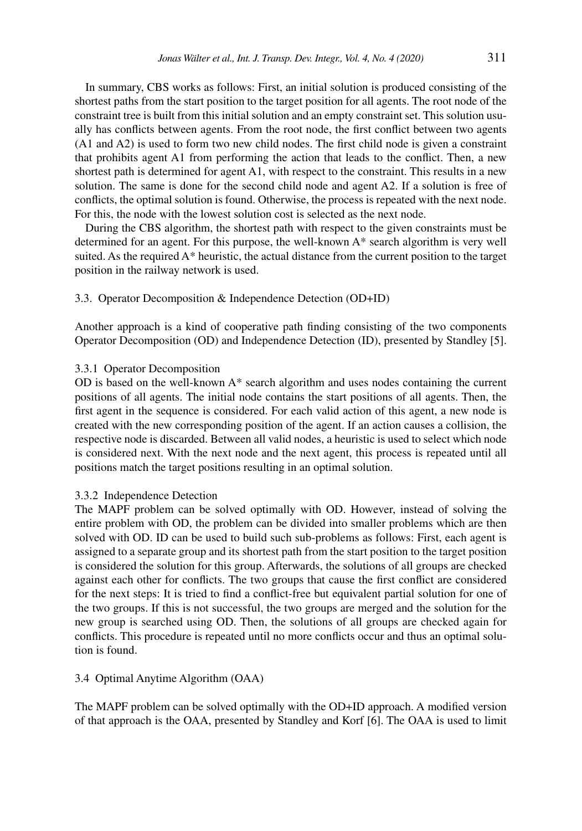In summary, CBS works as follows: First, an initial solution is produced consisting of the shortest paths from the start position to the target position for all agents. The root node of the constraint tree is built from this initial solution and an empty constraint set. This solution usually has conflicts between agents. From the root node, the first conflict between two agents (A1 and A2) is used to form two new child nodes. The first child node is given a constraint that prohibits agent A1 from performing the action that leads to the conflict. Then, a new shortest path is determined for agent A1, with respect to the constraint. This results in a new solution. The same is done for the second child node and agent A2. If a solution is free of conflicts, the optimal solution is found. Otherwise, the process is repeated with the next node. For this, the node with the lowest solution cost is selected as the next node.

During the CBS algorithm, the shortest path with respect to the given constraints must be determined for an agent. For this purpose, the well-known A\* search algorithm is very well suited. As the required A\* heuristic, the actual distance from the current position to the target position in the railway network is used.

### 3.3. Operator Decomposition & Independence Detection (OD+ID)

Another approach is a kind of cooperative path finding consisting of the two components Operator Decomposition (OD) and Independence Detection (ID), presented by Standley [5].

## 3.3.1 Operator Decomposition

OD is based on the well-known A\* search algorithm and uses nodes containing the current positions of all agents. The initial node contains the start positions of all agents. Then, the first agent in the sequence is considered. For each valid action of this agent, a new node is created with the new corresponding position of the agent. If an action causes a collision, the respective node is discarded. Between all valid nodes, a heuristic is used to select which node is considered next. With the next node and the next agent, this process is repeated until all positions match the target positions resulting in an optimal solution.

### 3.3.2 Independence Detection

The MAPF problem can be solved optimally with OD. However, instead of solving the entire problem with OD, the problem can be divided into smaller problems which are then solved with OD. ID can be used to build such sub-problems as follows: First, each agent is assigned to a separate group and its shortest path from the start position to the target position is considered the solution for this group. Afterwards, the solutions of all groups are checked against each other for conflicts. The two groups that cause the first conflict are considered for the next steps: It is tried to find a conflict-free but equivalent partial solution for one of the two groups. If this is not successful, the two groups are merged and the solution for the new group is searched using OD. Then, the solutions of all groups are checked again for conflicts. This procedure is repeated until no more conflicts occur and thus an optimal solution is found.

# 3.4 Optimal Anytime Algorithm (OAA)

The MAPF problem can be solved optimally with the OD+ID approach. A modified version of that approach is the OAA, presented by Standley and Korf [6]. The OAA is used to limit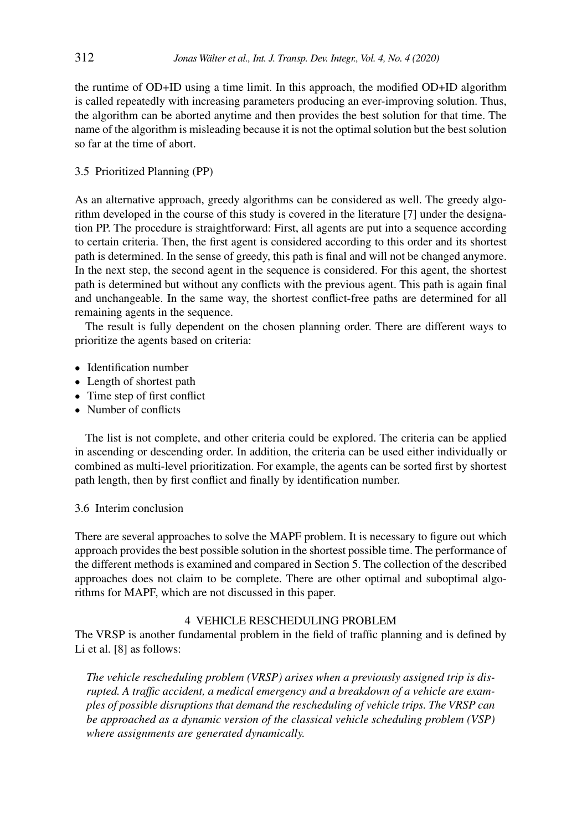the runtime of OD+ID using a time limit. In this approach, the modified OD+ID algorithm is called repeatedly with increasing parameters producing an ever-improving solution. Thus, the algorithm can be aborted anytime and then provides the best solution for that time. The name of the algorithm is misleading because it is not the optimal solution but the best solution so far at the time of abort.

### 3.5 Prioritized Planning (PP)

As an alternative approach, greedy algorithms can be considered as well. The greedy algorithm developed in the course of this study is covered in the literature [7] under the designation PP. The procedure is straightforward: First, all agents are put into a sequence according to certain criteria. Then, the first agent is considered according to this order and its shortest path is determined. In the sense of greedy, this path is final and will not be changed anymore. In the next step, the second agent in the sequence is considered. For this agent, the shortest path is determined but without any conflicts with the previous agent. This path is again final and unchangeable. In the same way, the shortest conflict-free paths are determined for all remaining agents in the sequence.

The result is fully dependent on the chosen planning order. There are different ways to prioritize the agents based on criteria:

- Identification number
- Length of shortest path
- Time step of first conflict
- Number of conflicts

The list is not complete, and other criteria could be explored. The criteria can be applied in ascending or descending order. In addition, the criteria can be used either individually or combined as multi-level prioritization. For example, the agents can be sorted first by shortest path length, then by first conflict and finally by identification number.

### 3.6 Interim conclusion

There are several approaches to solve the MAPF problem. It is necessary to figure out which approach provides the best possible solution in the shortest possible time. The performance of the different methods is examined and compared in Section 5. The collection of the described approaches does not claim to be complete. There are other optimal and suboptimal algorithms for MAPF, which are not discussed in this paper.

### 4 Vehicle Rescheduling Problem

The VRSP is another fundamental problem in the field of traffic planning and is defined by Li et al. [8] as follows:

*The vehicle rescheduling problem (VRSP) arises when a previously assigned trip is disrupted. A traffic accident, a medical emergency and a breakdown of a vehicle are examples of possible disruptions that demand the rescheduling of vehicle trips. The VRSP can be approached as a dynamic version of the classical vehicle scheduling problem (VSP) where assignments are generated dynamically.*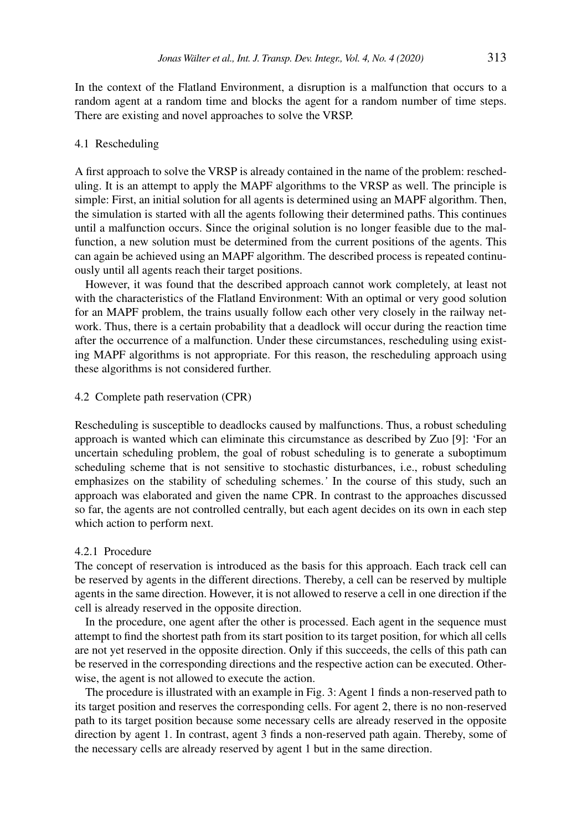In the context of the Flatland Environment, a disruption is a malfunction that occurs to a random agent at a random time and blocks the agent for a random number of time steps. There are existing and novel approaches to solve the VRSP.

#### 4.1 Rescheduling

A first approach to solve the VRSP is already contained in the name of the problem: rescheduling. It is an attempt to apply the MAPF algorithms to the VRSP as well. The principle is simple: First, an initial solution for all agents is determined using an MAPF algorithm. Then, the simulation is started with all the agents following their determined paths. This continues until a malfunction occurs. Since the original solution is no longer feasible due to the malfunction, a new solution must be determined from the current positions of the agents. This can again be achieved using an MAPF algorithm. The described process is repeated continuously until all agents reach their target positions.

However, it was found that the described approach cannot work completely, at least not with the characteristics of the Flatland Environment: With an optimal or very good solution for an MAPF problem, the trains usually follow each other very closely in the railway network. Thus, there is a certain probability that a deadlock will occur during the reaction time after the occurrence of a malfunction. Under these circumstances, rescheduling using existing MAPF algorithms is not appropriate. For this reason, the rescheduling approach using these algorithms is not considered further.

### 4.2 Complete path reservation (CPR)

Rescheduling is susceptible to deadlocks caused by malfunctions. Thus, a robust scheduling approach is wanted which can eliminate this circumstance as described by Zuo [9]: 'For an uncertain scheduling problem, the goal of robust scheduling is to generate a suboptimum scheduling scheme that is not sensitive to stochastic disturbances, i.e., robust scheduling emphasizes on the stability of scheduling schemes.*'* In the course of this study, such an approach was elaborated and given the name CPR. In contrast to the approaches discussed so far, the agents are not controlled centrally, but each agent decides on its own in each step which action to perform next.

#### 4.2.1 Procedure

The concept of reservation is introduced as the basis for this approach. Each track cell can be reserved by agents in the different directions. Thereby, a cell can be reserved by multiple agents in the same direction. However, it is not allowed to reserve a cell in one direction if the cell is already reserved in the opposite direction.

In the procedure, one agent after the other is processed. Each agent in the sequence must attempt to find the shortest path from its start position to its target position, for which all cells are not yet reserved in the opposite direction. Only if this succeeds, the cells of this path can be reserved in the corresponding directions and the respective action can be executed. Otherwise, the agent is not allowed to execute the action.

The procedure is illustrated with an example in Fig. 3: Agent 1 finds a non-reserved path to its target position and reserves the corresponding cells. For agent 2, there is no non-reserved path to its target position because some necessary cells are already reserved in the opposite direction by agent 1. In contrast, agent 3 finds a non-reserved path again. Thereby, some of the necessary cells are already reserved by agent 1 but in the same direction.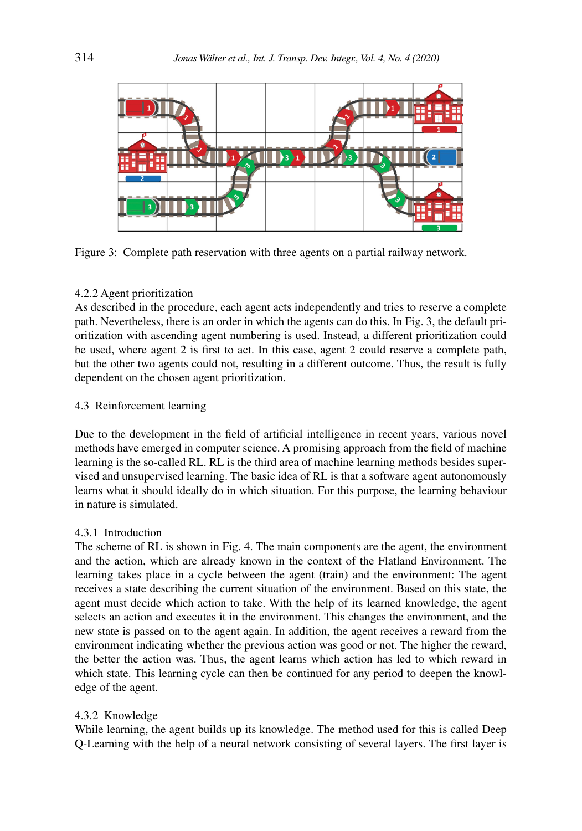

Figure 3: Complete path reservation with three agents on a partial railway network.

## 4.2.2 Agent prioritization

As described in the procedure, each agent acts independently and tries to reserve a complete path. Nevertheless, there is an order in which the agents can do this. In Fig. 3, the default prioritization with ascending agent numbering is used. Instead, a different prioritization could be used, where agent 2 is first to act. In this case, agent 2 could reserve a complete path, but the other two agents could not, resulting in a different outcome. Thus, the result is fully dependent on the chosen agent prioritization.

### 4.3 Reinforcement learning

Due to the development in the field of artificial intelligence in recent years, various novel methods have emerged in computer science. A promising approach from the field of machine learning is the so-called RL. RL is the third area of machine learning methods besides supervised and unsupervised learning. The basic idea of RL is that a software agent autonomously learns what it should ideally do in which situation. For this purpose, the learning behaviour in nature is simulated.

### 4.3.1 Introduction

The scheme of RL is shown in Fig. 4. The main components are the agent, the environment and the action, which are already known in the context of the Flatland Environment. The learning takes place in a cycle between the agent (train) and the environment: The agent receives a state describing the current situation of the environment. Based on this state, the agent must decide which action to take. With the help of its learned knowledge, the agent selects an action and executes it in the environment. This changes the environment, and the new state is passed on to the agent again. In addition, the agent receives a reward from the environment indicating whether the previous action was good or not. The higher the reward, the better the action was. Thus, the agent learns which action has led to which reward in which state. This learning cycle can then be continued for any period to deepen the knowledge of the agent.

# 4.3.2 Knowledge

While learning, the agent builds up its knowledge. The method used for this is called Deep Q-Learning with the help of a neural network consisting of several layers. The first layer is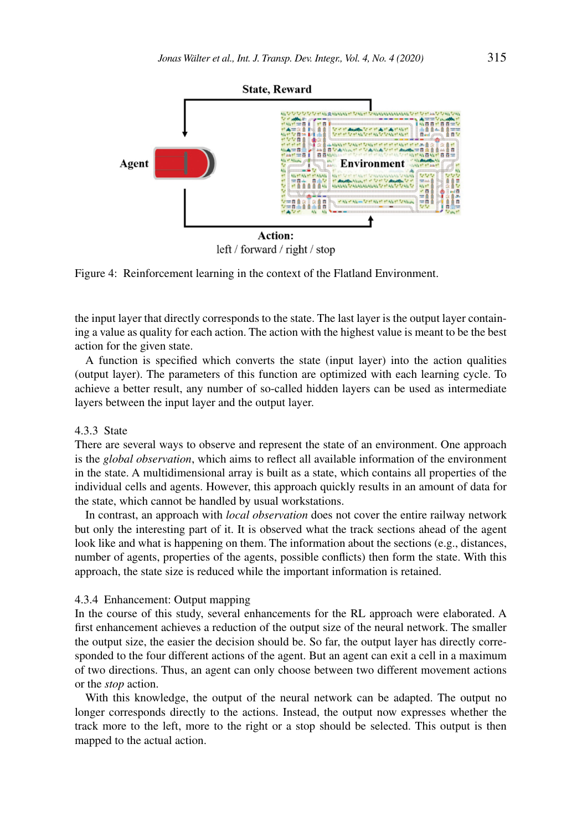

left / forward / right / stop

Figure 4: Reinforcement learning in the context of the Flatland Environment.

the input layer that directly corresponds to the state. The last layer is the output layer containing a value as quality for each action. The action with the highest value is meant to be the best action for the given state.

A function is specified which converts the state (input layer) into the action qualities (output layer). The parameters of this function are optimized with each learning cycle. To achieve a better result, any number of so-called hidden layers can be used as intermediate layers between the input layer and the output layer.

#### 4.3.3 State

There are several ways to observe and represent the state of an environment. One approach is the *global observation*, which aims to reflect all available information of the environment in the state. A multidimensional array is built as a state, which contains all properties of the individual cells and agents. However, this approach quickly results in an amount of data for the state, which cannot be handled by usual workstations.

In contrast, an approach with *local observation* does not cover the entire railway network but only the interesting part of it. It is observed what the track sections ahead of the agent look like and what is happening on them. The information about the sections (e.g., distances, number of agents, properties of the agents, possible conflicts) then form the state. With this approach, the state size is reduced while the important information is retained.

#### 4.3.4 Enhancement: Output mapping

In the course of this study, several enhancements for the RL approach were elaborated. A first enhancement achieves a reduction of the output size of the neural network. The smaller the output size, the easier the decision should be. So far, the output layer has directly corresponded to the four different actions of the agent. But an agent can exit a cell in a maximum of two directions. Thus, an agent can only choose between two different movement actions or the *stop* action.

With this knowledge, the output of the neural network can be adapted. The output no longer corresponds directly to the actions. Instead, the output now expresses whether the track more to the left, more to the right or a stop should be selected. This output is then mapped to the actual action.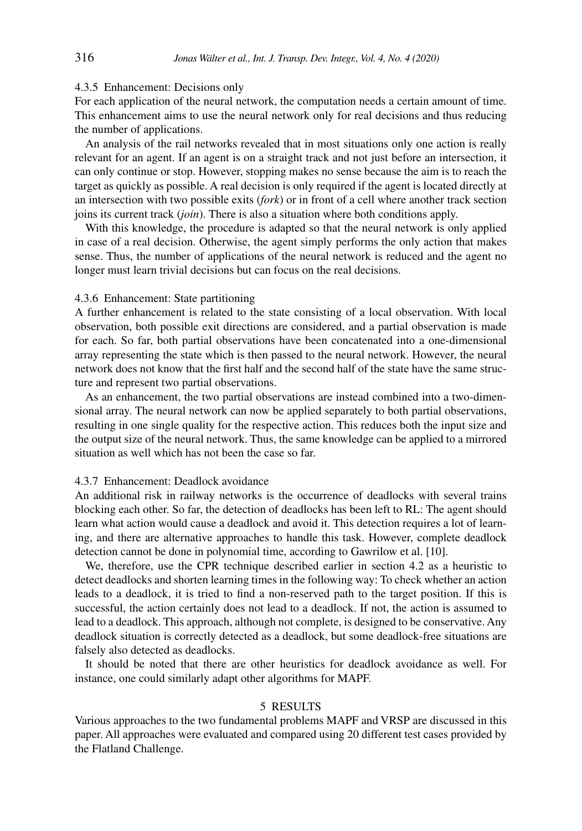#### 4.3.5 Enhancement: Decisions only

For each application of the neural network, the computation needs a certain amount of time. This enhancement aims to use the neural network only for real decisions and thus reducing the number of applications.

An analysis of the rail networks revealed that in most situations only one action is really relevant for an agent. If an agent is on a straight track and not just before an intersection, it can only continue or stop. However, stopping makes no sense because the aim is to reach the target as quickly as possible. A real decision is only required if the agent is located directly at an intersection with two possible exits (*fork*) or in front of a cell where another track section joins its current track (*join*). There is also a situation where both conditions apply.

With this knowledge, the procedure is adapted so that the neural network is only applied in case of a real decision. Otherwise, the agent simply performs the only action that makes sense. Thus, the number of applications of the neural network is reduced and the agent no longer must learn trivial decisions but can focus on the real decisions.

### 4.3.6 Enhancement: State partitioning

A further enhancement is related to the state consisting of a local observation. With local observation, both possible exit directions are considered, and a partial observation is made for each. So far, both partial observations have been concatenated into a one-dimensional array representing the state which is then passed to the neural network. However, the neural network does not know that the first half and the second half of the state have the same structure and represent two partial observations.

As an enhancement, the two partial observations are instead combined into a two-dimensional array. The neural network can now be applied separately to both partial observations, resulting in one single quality for the respective action. This reduces both the input size and the output size of the neural network. Thus, the same knowledge can be applied to a mirrored situation as well which has not been the case so far.

# 4.3.7 Enhancement: Deadlock avoidance

An additional risk in railway networks is the occurrence of deadlocks with several trains blocking each other. So far, the detection of deadlocks has been left to RL: The agent should learn what action would cause a deadlock and avoid it. This detection requires a lot of learning, and there are alternative approaches to handle this task. However, complete deadlock detection cannot be done in polynomial time, according to Gawrilow et al. [10].

We, therefore, use the CPR technique described earlier in section 4.2 as a heuristic to detect deadlocks and shorten learning times in the following way: To check whether an action leads to a deadlock, it is tried to find a non-reserved path to the target position. If this is successful, the action certainly does not lead to a deadlock. If not, the action is assumed to lead to a deadlock. This approach, although not complete, is designed to be conservative. Any deadlock situation is correctly detected as a deadlock, but some deadlock-free situations are falsely also detected as deadlocks.

It should be noted that there are other heuristics for deadlock avoidance as well. For instance, one could similarly adapt other algorithms for MAPF.

#### 5 Results

Various approaches to the two fundamental problems MAPF and VRSP are discussed in this paper. All approaches were evaluated and compared using 20 different test cases provided by the Flatland Challenge.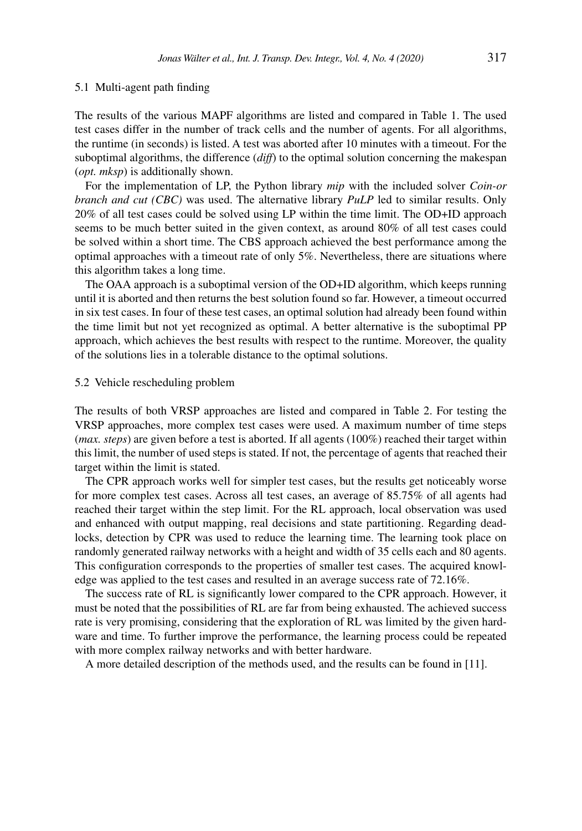#### 5.1 Multi-agent path finding

The results of the various MAPF algorithms are listed and compared in Table 1. The used test cases differ in the number of track cells and the number of agents. For all algorithms, the runtime (in seconds) is listed. A test was aborted after 10 minutes with a timeout. For the suboptimal algorithms, the difference (*diff*) to the optimal solution concerning the makespan (*opt. mksp*) is additionally shown.

For the implementation of LP, the Python library *mip* with the included solver *Coin-or branch and cut (CBC)* was used. The alternative library *PuLP* led to similar results. Only 20% of all test cases could be solved using LP within the time limit. The OD+ID approach seems to be much better suited in the given context, as around 80% of all test cases could be solved within a short time. The CBS approach achieved the best performance among the optimal approaches with a timeout rate of only 5%. Nevertheless, there are situations where this algorithm takes a long time.

The OAA approach is a suboptimal version of the OD+ID algorithm, which keeps running until it is aborted and then returns the best solution found so far. However, a timeout occurred in six test cases. In four of these test cases, an optimal solution had already been found within the time limit but not yet recognized as optimal. A better alternative is the suboptimal PP approach, which achieves the best results with respect to the runtime. Moreover, the quality of the solutions lies in a tolerable distance to the optimal solutions.

#### 5.2 Vehicle rescheduling problem

The results of both VRSP approaches are listed and compared in Table 2. For testing the VRSP approaches, more complex test cases were used. A maximum number of time steps (*max. steps*) are given before a test is aborted. If all agents (100%) reached their target within this limit, the number of used steps is stated. If not, the percentage of agents that reached their target within the limit is stated.

The CPR approach works well for simpler test cases, but the results get noticeably worse for more complex test cases. Across all test cases, an average of 85.75% of all agents had reached their target within the step limit. For the RL approach, local observation was used and enhanced with output mapping, real decisions and state partitioning. Regarding deadlocks, detection by CPR was used to reduce the learning time. The learning took place on randomly generated railway networks with a height and width of 35 cells each and 80 agents. This configuration corresponds to the properties of smaller test cases. The acquired knowledge was applied to the test cases and resulted in an average success rate of 72.16%.

The success rate of RL is significantly lower compared to the CPR approach. However, it must be noted that the possibilities of RL are far from being exhausted. The achieved success rate is very promising, considering that the exploration of RL was limited by the given hardware and time. To further improve the performance, the learning process could be repeated with more complex railway networks and with better hardware.

A more detailed description of the methods used, and the results can be found in [11].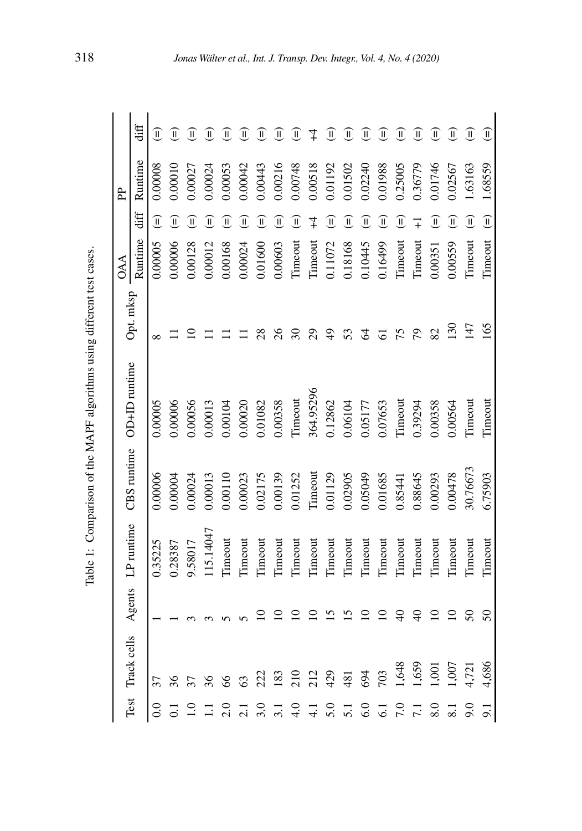| .<br>.<br>.<br>.<br>:<br>$\frac{1}{2}$<br>$\ddot{\phantom{a}}$<br>$\frac{1}{2}$<br>.<br>.<br>.<br>١<br>i<br>i<br>1<br>J<br>i<br>$\sim$<br>l<br>i<br>l<br>ι<br>is let us<br>$\frac{1}{2}$<br>i |  |
|-----------------------------------------------------------------------------------------------------------------------------------------------------------------------------------------------|--|
|                                                                                                                                                                                               |  |
|                                                                                                                                                                                               |  |
|                                                                                                                                                                                               |  |
|                                                                                                                                                                                               |  |
|                                                                                                                                                                                               |  |
|                                                                                                                                                                                               |  |
|                                                                                                                                                                                               |  |
|                                                                                                                                                                                               |  |
|                                                                                                                                                                                               |  |
|                                                                                                                                                                                               |  |
|                                                                                                                                                                                               |  |
|                                                                                                                                                                                               |  |
|                                                                                                                                                                                               |  |
|                                                                                                                                                                                               |  |

| Test             |                 |                 |                |          |                                             |                 | 0AA     |                          | ਟੇ      |                        |
|------------------|-----------------|-----------------|----------------|----------|---------------------------------------------|-----------------|---------|--------------------------|---------|------------------------|
|                  | Track cells     |                 |                |          | Agents LP runtime CBS runtime OD+ID runtime | Opt. mksp       | Runtime | diff                     | Runtime | diff                   |
| 0.0              | 37              |                 | 0.35225        | 0.00006  | 0.00005                                     | $\infty$        | 0.00005 | ⊕                        | 0.00008 | Ш                      |
|                  |                 |                 | 1.28387        | 0.00004  | 0.00006                                     |                 | 0.00006 | ⊕                        |         | $\mathbf{H}$           |
|                  |                 |                 | 9.58017        | 0.00024  | 0.00056                                     |                 | 0.00128 | I                        |         | $\widehat{\mathbb{I}}$ |
|                  |                 |                 | 15.14047       | 0.00013  | 0.00013                                     |                 | 0.00012 | $\widehat{\mathbb{I}}$   | 0.00024 | $\widehat{\mathbb{I}}$ |
| 2.0              |                 |                 | Timeout        | 0.00110  | 1.00104                                     |                 | 0.00168 | $\widetilde{\mathbb{I}}$ | 0.00053 |                        |
| $\overline{c}$   |                 |                 | <b>Timeout</b> | 0.00023  | 0.00020                                     |                 | 0.00024 | $\widehat{\mathbb{I}}$   | 0.00042 | $\mathbf{I}$           |
| 3.0              |                 |                 | Timeout        | 0.02175  | 1.01082                                     |                 | 0.01600 | $\widehat{\mathbb{I}}$   | 0.00443 | $\sf II$               |
|                  | <u>83</u>       |                 | Timeout        | 0.00139  | 0.00358                                     |                 | 0.00603 | ⊕                        | 0.00216 | $\widehat{\mathbb{I}}$ |
| $\frac{0}{4}$    | $\frac{210}{2}$ |                 | Timeout        | 0.01252  | Timeout                                     |                 | Timeout | ⊕                        | 0.00748 | $\mathsf{II}$          |
| $\frac{1}{4}$    | 212             |                 | Timeout        | Timeout  | 364.95296                                   |                 | Timeout |                          | 0.00518 |                        |
| 5.0              | 429             |                 | Timeout        | 0.01129  | 0.12862                                     |                 | 0.11072 | $\widehat{\mathbb{I}}$   | 0.01192 | Ī                      |
| $\overline{51}$  | 481             |                 | Timeout        | 0.02905  | 0.06104                                     |                 | 0.18168 | ⊕                        | 0.01502 | II                     |
| 6.0              | 694             |                 | Timeout        | 0.05049  | 0.05177                                     |                 | 0.10445 | $\widehat{\mathbb{I}}$   | 0.02240 | $\widehat{\mathbb{I}}$ |
| $\overline{61}$  | 703             |                 | Timeout        | 0.01685  | 0.7653                                      |                 | 0.16499 | ⊕                        | 0.01988 | Ш                      |
| $\overline{7.0}$ | 1,648           |                 | Timeout        | 0.85441  | Timeout                                     |                 | Timeout | ⊕                        | 0.25005 | Ш                      |
| $\overline{71}$  | 1,659           |                 | Timeout        | 0.88645  | 0.39294                                     | 20              | Timeout |                          | 0.36779 | Ш                      |
| 8.0              | 1,00            |                 | Timeout        | 0.00293  | 0.00358                                     | 82              | 0.00351 | $\widehat{\mathbb{I}}$   | 0.01746 | $\mathsf{I}\mathsf{I}$ |
|                  | 1,007           |                 | Timeout        | 0.00478  | 0.00564                                     | $\overline{50}$ | 0.00559 | $\widehat{\mathbb{I}}$   | 0.02567 | Ш                      |
| 0.6              | 4,721           |                 | Timeout        | 30.76673 | <b>Timeout</b>                              | 147             | Timeout | $\widehat{\mathbb{I}}$   | .63163  | $\widehat{\mathbb{I}}$ |
| 9.1              | 4,686           | $\overline{50}$ | Timeout        | 6.75903  | <b>Timeout</b>                              | 165             | Timeout | $\widehat{\mathbb{L}}$   | 1.68559 | $\widehat{\mathbb{I}}$ |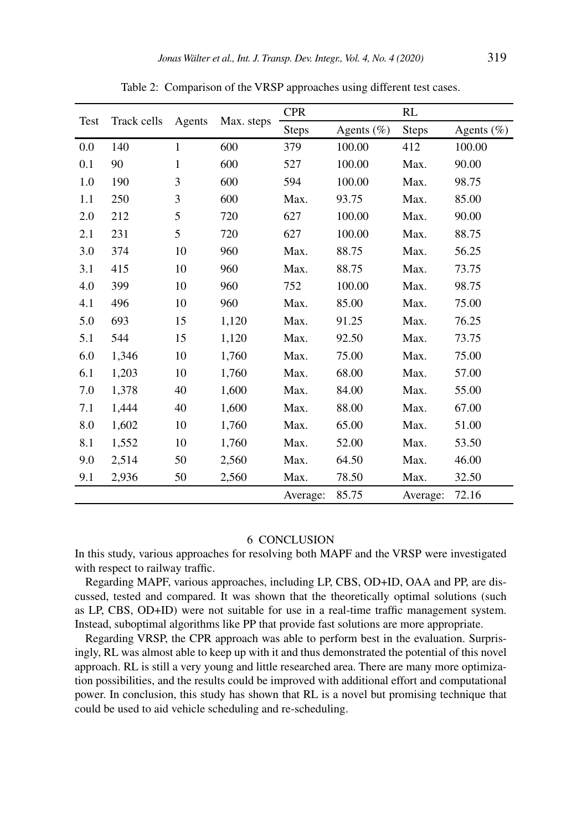|      |             |        |            | <b>CPR</b>   |                | RL           |               |
|------|-------------|--------|------------|--------------|----------------|--------------|---------------|
| Test | Track cells | Agents | Max. steps | <b>Steps</b> | Agents $(\% )$ | <b>Steps</b> | Agents $(\%)$ |
| 0.0  | 140         | 1      | 600        | 379          | 100.00         | 412          | 100.00        |
| 0.1  | 90          | 1      | 600        | 527          | 100.00         | Max.         | 90.00         |
| 1.0  | 190         | 3      | 600        | 594          | 100.00         | Max.         | 98.75         |
| 1.1  | 250         | 3      | 600        | Max.         | 93.75          | Max.         | 85.00         |
| 2.0  | 212         | 5      | 720        | 627          | 100.00         | Max.         | 90.00         |
| 2.1  | 231         | 5      | 720        | 627          | 100.00         | Max.         | 88.75         |
| 3.0  | 374         | 10     | 960        | Max.         | 88.75          | Max.         | 56.25         |
| 3.1  | 415         | 10     | 960        | Max.         | 88.75          | Max.         | 73.75         |
| 4.0  | 399         | 10     | 960        | 752          | 100.00         | Max.         | 98.75         |
| 4.1  | 496         | 10     | 960        | Max.         | 85.00          | Max.         | 75.00         |
| 5.0  | 693         | 15     | 1,120      | Max.         | 91.25          | Max.         | 76.25         |
| 5.1  | 544         | 15     | 1,120      | Max.         | 92.50          | Max.         | 73.75         |
| 6.0  | 1,346       | 10     | 1,760      | Max.         | 75.00          | Max.         | 75.00         |
| 6.1  | 1,203       | 10     | 1,760      | Max.         | 68.00          | Max.         | 57.00         |
| 7.0  | 1,378       | 40     | 1,600      | Max.         | 84.00          | Max.         | 55.00         |
| 7.1  | 1,444       | 40     | 1,600      | Max.         | 88.00          | Max.         | 67.00         |
| 8.0  | 1,602       | 10     | 1,760      | Max.         | 65.00          | Max.         | 51.00         |
| 8.1  | 1,552       | 10     | 1,760      | Max.         | 52.00          | Max.         | 53.50         |
| 9.0  | 2,514       | 50     | 2,560      | Max.         | 64.50          | Max.         | 46.00         |
| 9.1  | 2,936       | 50     | 2,560      | Max.         | 78.50          | Max.         | 32.50         |
|      |             |        |            | Average:     | 85.75          | Average:     | 72.16         |

Table 2: Comparison of the VRSP approaches using different test cases.

# 6 Conclusion

In this study, various approaches for resolving both MAPF and the VRSP were investigated with respect to railway traffic.

Regarding MAPF, various approaches, including LP, CBS, OD+ID, OAA and PP, are discussed, tested and compared. It was shown that the theoretically optimal solutions (such as LP, CBS, OD+ID) were not suitable for use in a real-time traffic management system. Instead, suboptimal algorithms like PP that provide fast solutions are more appropriate.

Regarding VRSP, the CPR approach was able to perform best in the evaluation. Surprisingly, RL was almost able to keep up with it and thus demonstrated the potential of this novel approach. RL is still a very young and little researched area. There are many more optimization possibilities, and the results could be improved with additional effort and computational power. In conclusion, this study has shown that RL is a novel but promising technique that could be used to aid vehicle scheduling and re-scheduling.